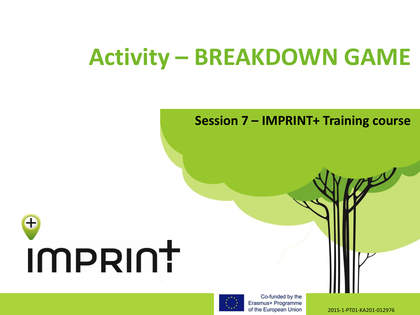## **Activity – BREAKDOWN GAME**

## **Session 7 – IMPRINT+ Training course**





Co-funded by the Erasmus+ Programme of the European Union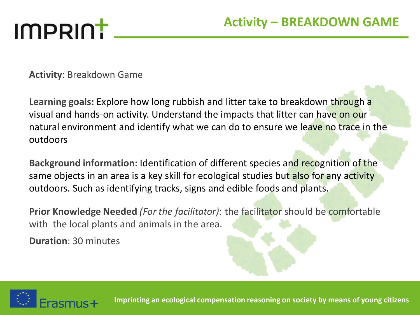# IMPRINT

**Activity**: Breakdown Game

**Learning goals:** Explore how long rubbish and litter take to breakdown through a visual and hands-on activity. Understand the impacts that litter can have on our natural environment and identify what we can do to ensure we leave no trace in the outdoors

**Background information:** Identification of different species and recognition of the same objects in an area is a key skill for ecological studies but also for any activity outdoors. Such as identifying tracks, signs and edible foods and plants.

**Prior Knowledge Needed** *(For the facilitator)*: the facilitator should be comfortable with the local plants and animals in the area.

**Duration**: 30 minutes



**Imprinting an ecological compensation reasoning on society by means of young citizens**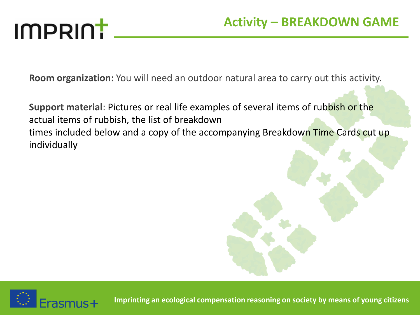# **IMPRINT**

**Room organization:** You will need an outdoor natural area to carry out this activity.

**Support material**: Pictures or real life examples of several items of rubbish or the actual items of rubbish, the list of breakdown times included below and a copy of the accompanying Breakdown Time Cards cut up individually



**Imprinting an ecological compensation reasoning on society by means of young citizens**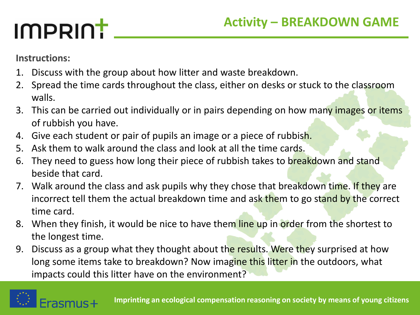## **Activity – BREAKDOWN GAME**

# IMPRINT

**Instructions:**

- 1. Discuss with the group about how litter and waste breakdown.
- 2. Spread the time cards throughout the class, either on desks or stuck to the classroom walls.
- 3. This can be carried out individually or in pairs depending on how many images or items of rubbish you have.
- 4. Give each student or pair of pupils an image or a piece of rubbish.
- 5. Ask them to walk around the class and look at all the time cards.
- 6. They need to guess how long their piece of rubbish takes to breakdown and stand beside that card.
- 7. Walk around the class and ask pupils why they chose that breakdown time. If they are incorrect tell them the actual breakdown time and ask them to go stand by the correct time card.
- 8. When they finish, it would be nice to have them line up in order from the shortest to the longest time.
- 9. Discuss as a group what they thought about the results. Were they surprised at how long some items take to breakdown? Now imagine this litter in the outdoors, what impacts could this litter have on the environment?